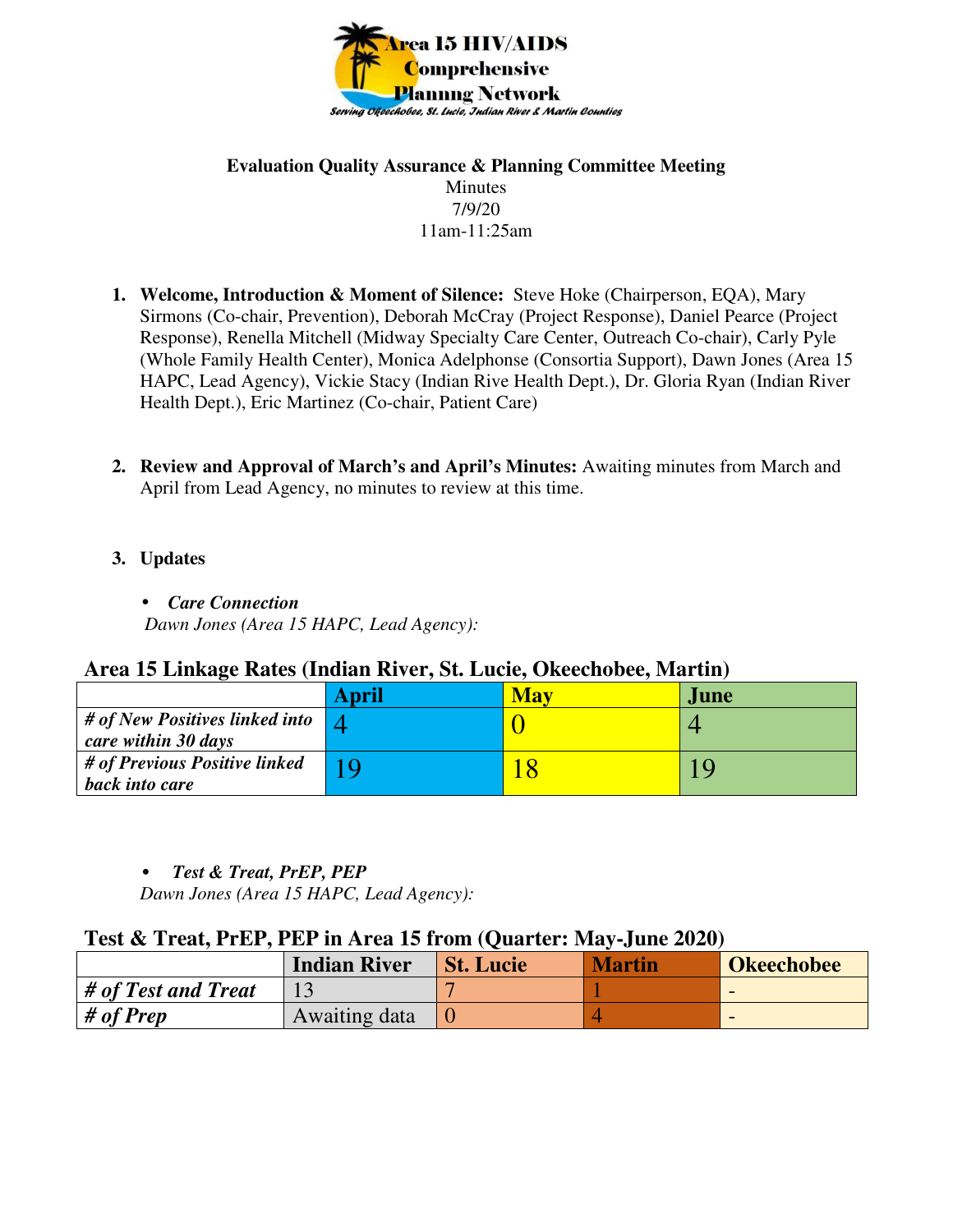

### **Evaluation Quality Assurance & Planning Committee Meeting**  Minutes 7/9/20 11am-11:25am

- **1. Welcome, Introduction & Moment of Silence:** Steve Hoke (Chairperson, EQA), Mary Sirmons (Co-chair, Prevention), Deborah McCray (Project Response), Daniel Pearce (Project Response), Renella Mitchell (Midway Specialty Care Center, Outreach Co-chair), Carly Pyle (Whole Family Health Center), Monica Adelphonse (Consortia Support), Dawn Jones (Area 15 HAPC, Lead Agency), Vickie Stacy (Indian Rive Health Dept.), Dr. Gloria Ryan (Indian River Health Dept.), Eric Martinez (Co-chair, Patient Care)
- **2. Review and Approval of March's and April's Minutes:** Awaiting minutes from March and April from Lead Agency, no minutes to review at this time.
- **3. Updates** 
	- *Care Connection*

 *Dawn Jones (Area 15 HAPC, Lead Agency):* 

# **Area 15 Linkage Rates (Indian River, St. Lucie, Okeechobee, Martin)**

|                                                          | <b>April</b> | May | June. |
|----------------------------------------------------------|--------------|-----|-------|
| $\#$ of New Positives linked into<br>care within 30 days |              |     |       |
| # of Previous Positive linked<br>back into care          |              |     |       |

# • *Test & Treat, PrEP, PEP*

 *Dawn Jones (Area 15 HAPC, Lead Agency):* 

# **Test & Treat, PrEP, PEP in Area 15 from (Quarter: May-June 2020)**

|                     | <b>Indian River</b> | <b>St. Lucie</b> | <b>Martin</b> | <b>Okeechobee</b> |
|---------------------|---------------------|------------------|---------------|-------------------|
| # of Test and Treat |                     |                  |               |                   |
| # of Prep           | Awaiting data       |                  |               |                   |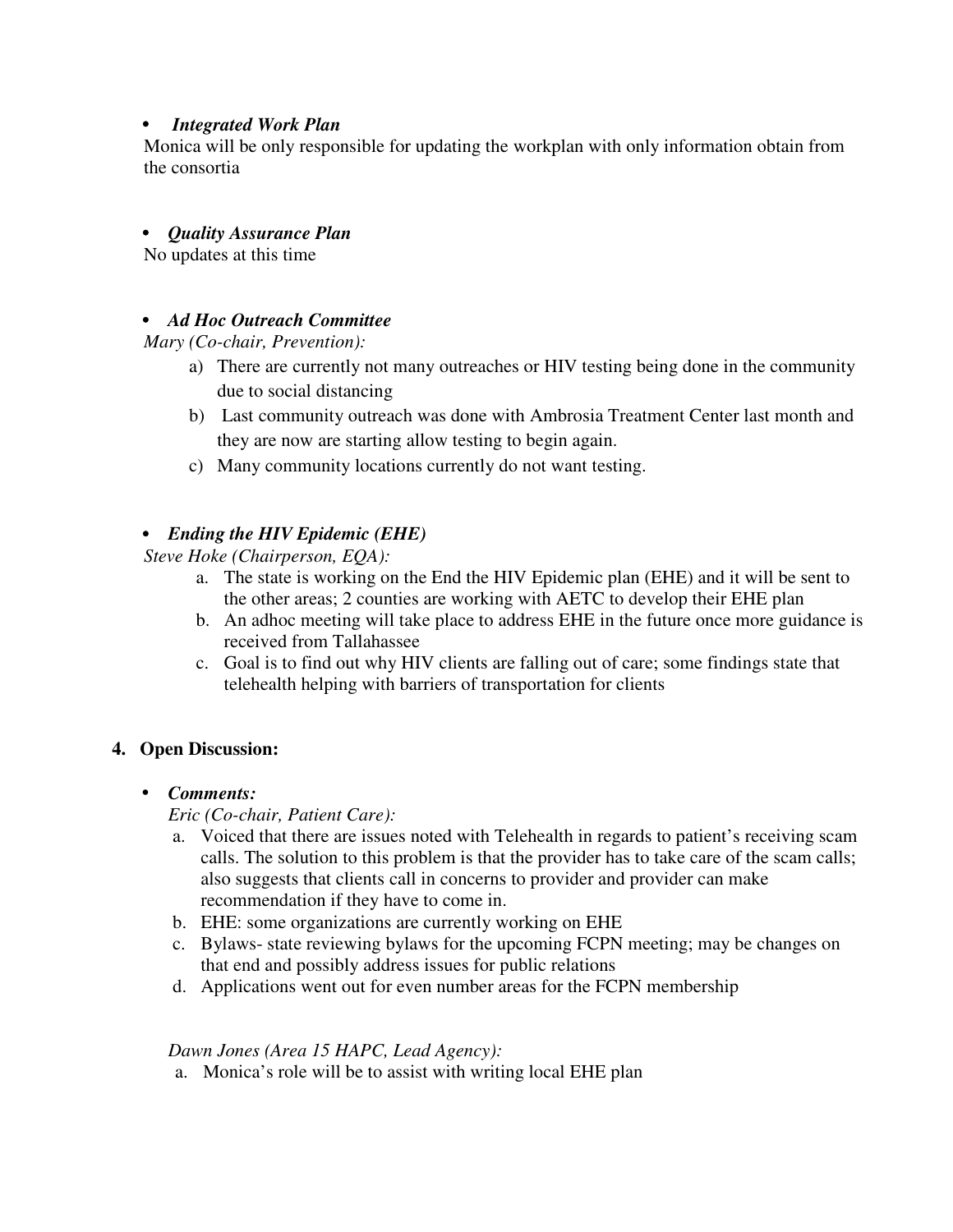### • *Integrated Work Plan*

Monica will be only responsible for updating the workplan with only information obtain from the consortia

## • *Quality Assurance Plan*

No updates at this time

## • *Ad Hoc Outreach Committee*

*Mary (Co-chair, Prevention):*

- a) There are currently not many outreaches or HIV testing being done in the community due to social distancing
- b) Last community outreach was done with Ambrosia Treatment Center last month and they are now are starting allow testing to begin again.
- c) Many community locations currently do not want testing.

## • *Ending the HIV Epidemic (EHE)*

*Steve Hoke (Chairperson, EQA):* 

- a. The state is working on the End the HIV Epidemic plan (EHE) and it will be sent to the other areas; 2 counties are working with AETC to develop their EHE plan
- b. An adhoc meeting will take place to address EHE in the future once more guidance is received from Tallahassee
- c. Goal is to find out why HIV clients are falling out of care; some findings state that telehealth helping with barriers of transportation for clients

## **4. Open Discussion:**

## • *Comments:*

*Eric (Co-chair, Patient Care):* 

- a. Voiced that there are issues noted with Telehealth in regards to patient's receiving scam calls. The solution to this problem is that the provider has to take care of the scam calls; also suggests that clients call in concerns to provider and provider can make recommendation if they have to come in.
- b. EHE: some organizations are currently working on EHE
- c. Bylaws- state reviewing bylaws for the upcoming FCPN meeting; may be changes on that end and possibly address issues for public relations
- d. Applications went out for even number areas for the FCPN membership

#### *Dawn Jones (Area 15 HAPC, Lead Agency):*

a. Monica's role will be to assist with writing local EHE plan